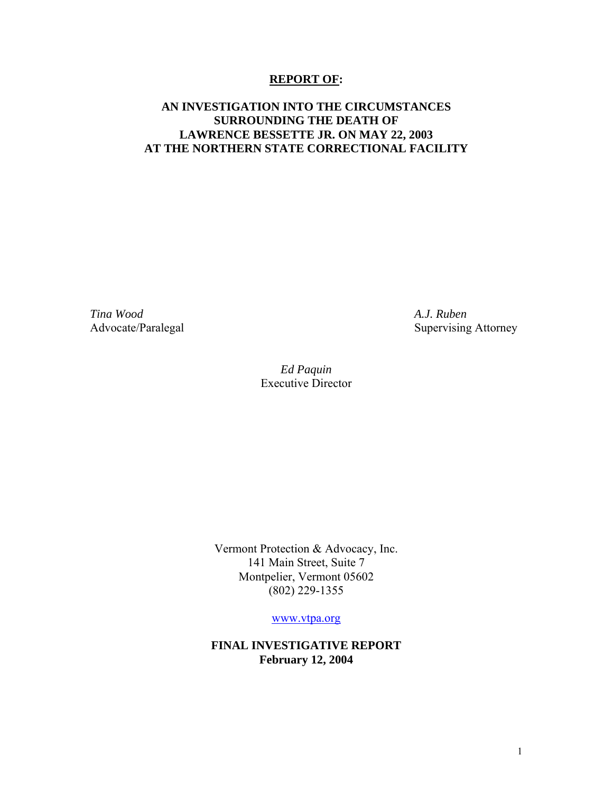#### **REPORT OF:**

### **AN INVESTIGATION INTO THE CIRCUMSTANCES SURROUNDING THE DEATH OF LAWRENCE BESSETTE JR. ON MAY 22, 2003 AT THE NORTHERN STATE CORRECTIONAL FACILITY**

*Tina Wood A.J. Ruben* 

Advocate/Paralegal Supervising Attorney

*Ed Paquin*  Executive Director

Vermont Protection & Advocacy, Inc. 141 Main Street, Suite 7 Montpelier, Vermont 05602 (802) 229-1355

[www.vtpa.org](http://www.vtpa.org/)

**FINAL INVESTIGATIVE REPORT February 12, 2004**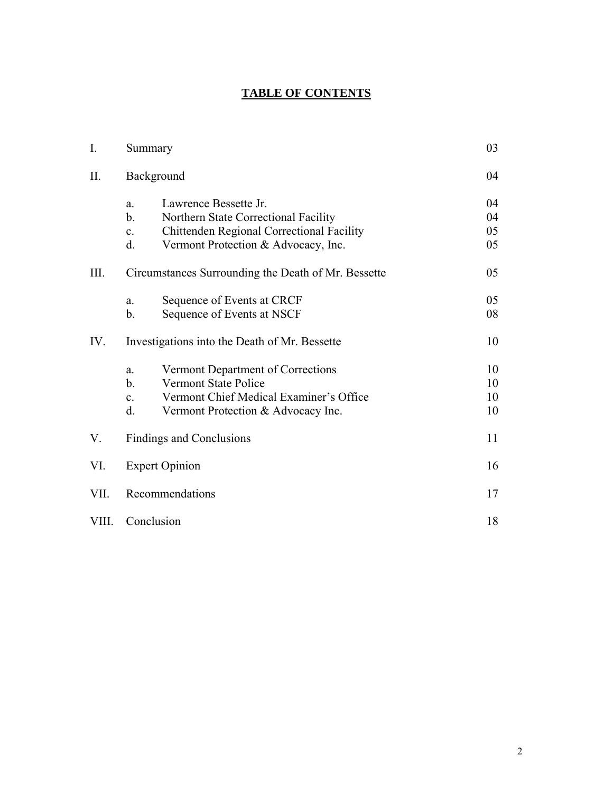# **TABLE OF CONTENTS**

| $I_{\cdot}$ | Summary                                                                                                                                                                                           | 03                   |
|-------------|---------------------------------------------------------------------------------------------------------------------------------------------------------------------------------------------------|----------------------|
| II.         | Background                                                                                                                                                                                        | 04                   |
|             | Lawrence Bessette Jr.<br>a.<br>$\mathbf{b}$ .<br>Northern State Correctional Facility<br>Chittenden Regional Correctional Facility<br>$\mathbf{c}$ .<br>Vermont Protection & Advocacy, Inc.<br>d. | 04<br>04<br>05<br>05 |
| III.        | Circumstances Surrounding the Death of Mr. Bessette                                                                                                                                               | 05                   |
|             | Sequence of Events at CRCF<br>a.<br>Sequence of Events at NSCF<br>b.                                                                                                                              | 05<br>08             |
| IV.         | Investigations into the Death of Mr. Bessette                                                                                                                                                     | 10                   |
|             | Vermont Department of Corrections<br>a.<br>$\mathbf{b}$ .<br><b>Vermont State Police</b><br>Vermont Chief Medical Examiner's Office<br>$\mathbf{c}$ .<br>d.<br>Vermont Protection & Advocacy Inc. | 10<br>10<br>10<br>10 |
| V.          | Findings and Conclusions                                                                                                                                                                          | 11                   |
| VI.         | <b>Expert Opinion</b>                                                                                                                                                                             | 16                   |
| VII.        | Recommendations                                                                                                                                                                                   | 17                   |
| VIII.       | Conclusion                                                                                                                                                                                        | 18                   |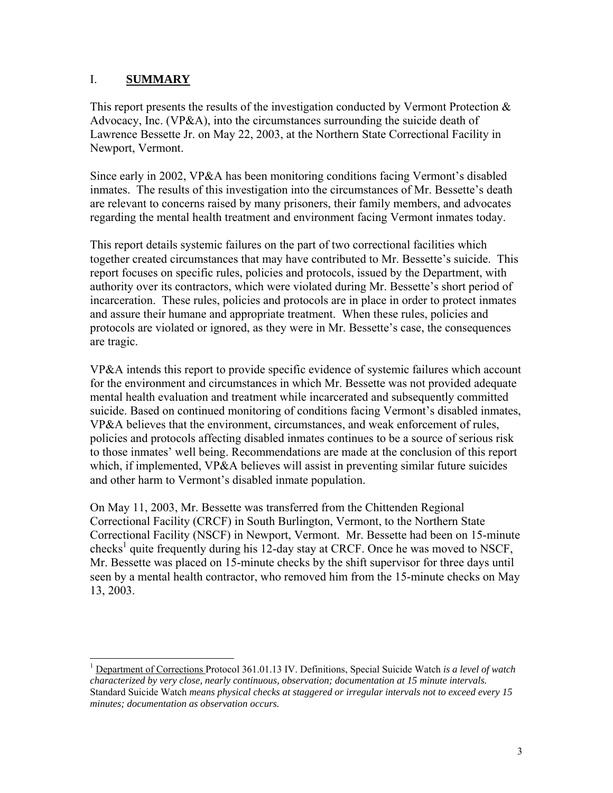# I. **SUMMARY**

This report presents the results of the investigation conducted by Vermont Protection  $\&$ Advocacy, Inc. ( $VP&A$ ), into the circumstances surrounding the suicide death of Lawrence Bessette Jr. on May 22, 2003, at the Northern State Correctional Facility in Newport, Vermont.

Since early in 2002, VP&A has been monitoring conditions facing Vermont's disabled inmates. The results of this investigation into the circumstances of Mr. Bessette's death are relevant to concerns raised by many prisoners, their family members, and advocates regarding the mental health treatment and environment facing Vermont inmates today.

This report details systemic failures on the part of two correctional facilities which together created circumstances that may have contributed to Mr. Bessette's suicide. This report focuses on specific rules, policies and protocols, issued by the Department, with authority over its contractors, which were violated during Mr. Bessette's short period of incarceration. These rules, policies and protocols are in place in order to protect inmates and assure their humane and appropriate treatment. When these rules, policies and protocols are violated or ignored, as they were in Mr. Bessette's case, the consequences are tragic.

VP&A intends this report to provide specific evidence of systemic failures which account for the environment and circumstances in which Mr. Bessette was not provided adequate mental health evaluation and treatment while incarcerated and subsequently committed suicide. Based on continued monitoring of conditions facing Vermont's disabled inmates, VP&A believes that the environment, circumstances, and weak enforcement of rules, policies and protocols affecting disabled inmates continues to be a source of serious risk to those inmates' well being. Recommendations are made at the conclusion of this report which, if implemented, VP&A believes will assist in preventing similar future suicides and other harm to Vermont's disabled inmate population.

On May 11, 2003, Mr. Bessette was transferred from the Chittenden Regional Correctional Facility (CRCF) in South Burlington, Vermont, to the Northern State Correctional Facility (NSCF) in Newport, Vermont. Mr. Bessette had been on 15-minute checks<sup>[1](#page-2-0)</sup> quite frequently during his 12-day stay at CRCF. Once he was moved to NSCF, Mr. Bessette was placed on 15-minute checks by the shift supervisor for three days until seen by a mental health contractor, who removed him from the 15-minute checks on May 13, 2003.

<span id="page-2-0"></span> <sup>1</sup> Department of Corrections Protocol 361.01.13 IV. Definitions, Special Suicide Watch *is a level of watch characterized by very close, nearly continuous, observation; documentation at 15 minute intervals.*  Standard Suicide Watch *means physical checks at staggered or irregular intervals not to exceed every 15 minutes; documentation as observation occurs.*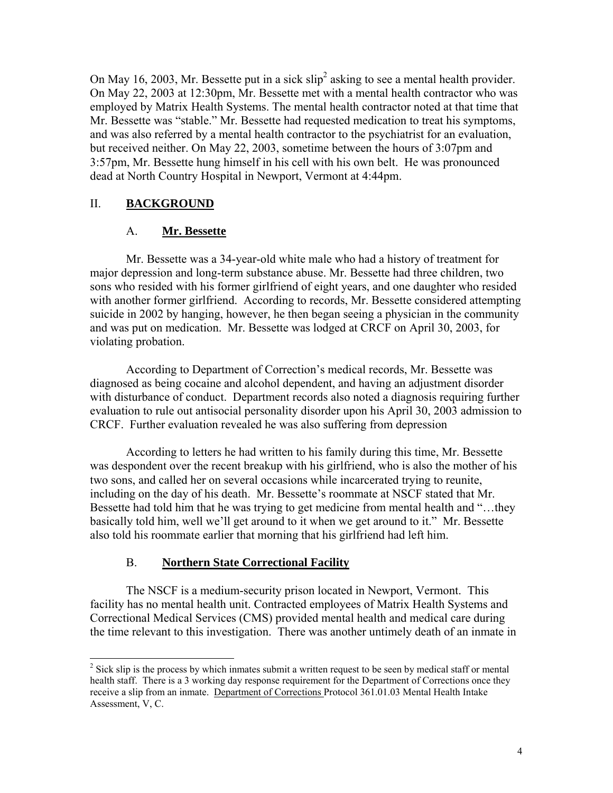On May 16, 2003, Mr. Bessette put in a sick  $\sin^2$  asking to see a mental health provider. On May 22, 2003 at 12:30pm, Mr. Bessette met with a mental health contractor who was employed by Matrix Health Systems. The mental health contractor noted at that time that Mr. Bessette was "stable." Mr. Bessette had requested medication to treat his symptoms, and was also referred by a mental health contractor to the psychiatrist for an evaluation, but received neither. On May 22, 2003, sometime between the hours of 3:07pm and 3:57pm, Mr. Bessette hung himself in his cell with his own belt. He was pronounced dead at North Country Hospital in Newport, Vermont at 4:44pm.

# II. **BACKGROUND**

### A. **Mr. Bessette**

Mr. Bessette was a 34-year-old white male who had a history of treatment for major depression and long-term substance abuse. Mr. Bessette had three children, two sons who resided with his former girlfriend of eight years, and one daughter who resided with another former girlfriend. According to records, Mr. Bessette considered attempting suicide in 2002 by hanging, however, he then began seeing a physician in the community and was put on medication. Mr. Bessette was lodged at CRCF on April 30, 2003, for violating probation.

According to Department of Correction's medical records, Mr. Bessette was diagnosed as being cocaine and alcohol dependent, and having an adjustment disorder with disturbance of conduct. Department records also noted a diagnosis requiring further evaluation to rule out antisocial personality disorder upon his April 30, 2003 admission to CRCF. Further evaluation revealed he was also suffering from depression

According to letters he had written to his family during this time, Mr. Bessette was despondent over the recent breakup with his girlfriend, who is also the mother of his two sons, and called her on several occasions while incarcerated trying to reunite, including on the day of his death. Mr. Bessette's roommate at NSCF stated that Mr. Bessette had told him that he was trying to get medicine from mental health and "…they basically told him, well we'll get around to it when we get around to it." Mr. Bessette also told his roommate earlier that morning that his girlfriend had left him.

### B. **Northern State Correctional Facility**

The NSCF is a medium-security prison located in Newport, Vermont. This facility has no mental health unit. Contracted employees of Matrix Health Systems and Correctional Medical Services (CMS) provided mental health and medical care during the time relevant to this investigation. There was another untimely death of an inmate in

<span id="page-3-0"></span><sup>&</sup>lt;sup>2</sup> <sup>2</sup> Sick slip is the process by which inmates submit a written request to be seen by medical staff or mental health staff. There is a 3 working day response requirement for the Department of Corrections once they receive a slip from an inmate. Department of Corrections Protocol 361.01.03 Mental Health Intake Assessment, V, C.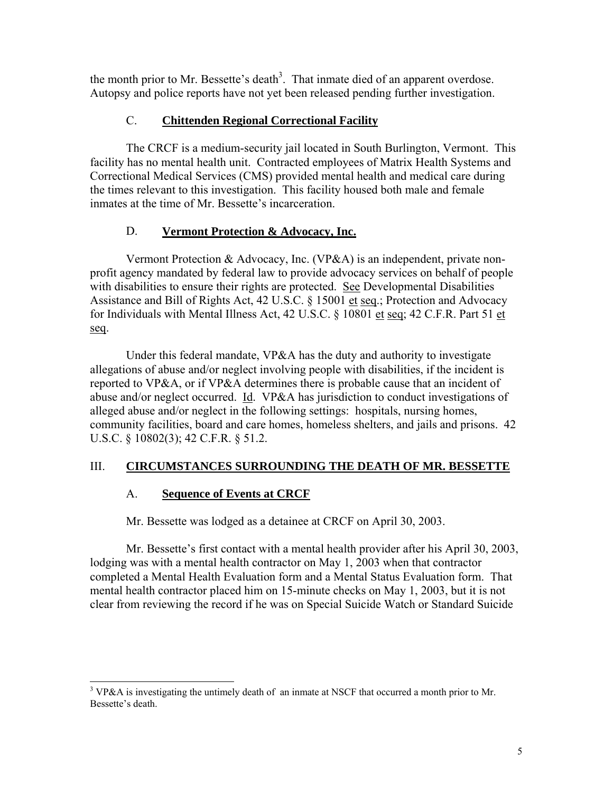the month prior to Mr. Bessette's death<sup>3</sup>. That inmate died of an apparent overdose. Autopsy and police reports have not yet been released pending further investigation.

# C. **Chittenden Regional Correctional Facility**

The CRCF is a medium-security jail located in South Burlington, Vermont. This facility has no mental health unit. Contracted employees of Matrix Health Systems and Correctional Medical Services (CMS) provided mental health and medical care during the times relevant to this investigation. This facility housed both male and female inmates at the time of Mr. Bessette's incarceration.

# D. **Vermont Protection & Advocacy, Inc.**

Vermont Protection & Advocacy, Inc. (VP&A) is an independent, private nonprofit agency mandated by federal law to provide advocacy services on behalf of people with disabilities to ensure their rights are protected. See Developmental Disabilities Assistance and Bill of Rights Act, 42 U.S.C. § 15001 et seq.; Protection and Advocacy for Individuals with Mental Illness Act, 42 U.S.C. § 10801 et seq; 42 C.F.R. Part 51 et seq.

Under this federal mandate, VP&A has the duty and authority to investigate allegations of abuse and/or neglect involving people with disabilities, if the incident is reported to VP&A, or if VP&A determines there is probable cause that an incident of abuse and/or neglect occurred. Id. VP&A has jurisdiction to conduct investigations of alleged abuse and/or neglect in the following settings: hospitals, nursing homes, community facilities, board and care homes, homeless shelters, and jails and prisons. 42 U.S.C. § 10802(3); 42 C.F.R. § 51.2.

# III. **CIRCUMSTANCES SURROUNDING THE DEATH OF MR. BESSETTE**

### A. **Sequence of Events at CRCF**

Mr. Bessette was lodged as a detainee at CRCF on April 30, 2003.

Mr. Bessette's first contact with a mental health provider after his April 30, 2003, lodging was with a mental health contractor on May 1, 2003 when that contractor completed a Mental Health Evaluation form and a Mental Status Evaluation form. That mental health contractor placed him on 15-minute checks on May 1, 2003, but it is not clear from reviewing the record if he was on Special Suicide Watch or Standard Suicide

<span id="page-4-0"></span> <sup>3</sup> <sup>3</sup> VP&A is investigating the untimely death of an inmate at NSCF that occurred a month prior to Mr. Bessette's death.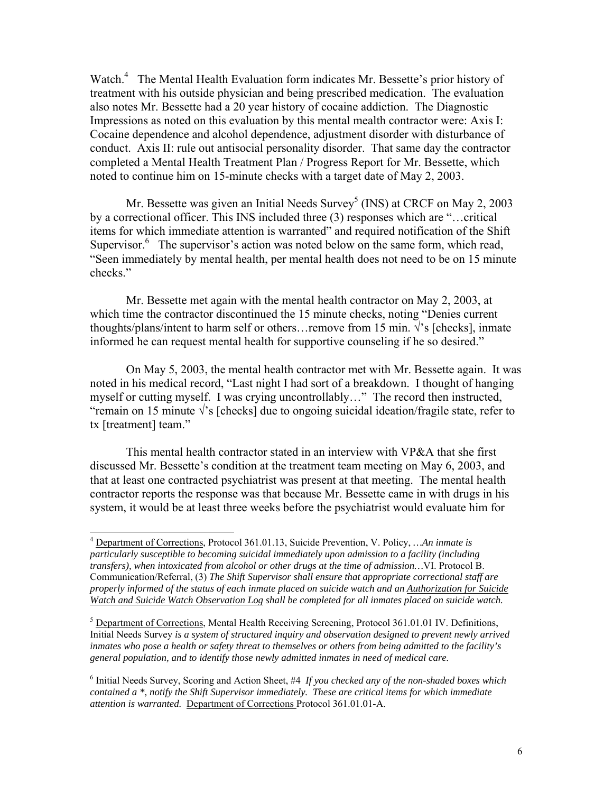Watch.<sup>[4](#page-5-0)</sup> The Mental Health Evaluation form indicates Mr. Bessette's prior history of treatment with his outside physician and being prescribed medication. The evaluation also notes Mr. Bessette had a 20 year history of cocaine addiction. The Diagnostic Impressions as noted on this evaluation by this mental mealth contractor were: Axis I: Cocaine dependence and alcohol dependence, adjustment disorder with disturbance of conduct. Axis II: rule out antisocial personality disorder. That same day the contractor completed a Mental Health Treatment Plan / Progress Report for Mr. Bessette, which noted to continue him on 15-minute checks with a target date of May 2, 2003.

Mr. Bessette was given an Initial Needs Survey<sup>[5](#page-5-1)</sup> (INS) at CRCF on May 2, 2003 by a correctional officer. This INS included three (3) responses which are "…critical items for which immediate attention is warranted" and required notification of the Shift Supervisor. $6$  The supervisor's action was noted below on the same form, which read, "Seen immediately by mental health, per mental health does not need to be on 15 minute checks."

Mr. Bessette met again with the mental health contractor on May 2, 2003, at which time the contractor discontinued the 15 minute checks, noting "Denies current thoughts/plans/intent to harm self or others…remove from 15 min.  $\sqrt{s}$  [checks], inmate informed he can request mental health for supportive counseling if he so desired."

On May 5, 2003, the mental health contractor met with Mr. Bessette again. It was noted in his medical record, "Last night I had sort of a breakdown. I thought of hanging myself or cutting myself. I was crying uncontrollably…" The record then instructed, "remain on 15 minute  $\sqrt{s}$  [checks] due to ongoing suicidal ideation/fragile state, refer to tx [treatment] team."

This mental health contractor stated in an interview with VP&A that she first discussed Mr. Bessette's condition at the treatment team meeting on May 6, 2003, and that at least one contracted psychiatrist was present at that meeting. The mental health contractor reports the response was that because Mr. Bessette came in with drugs in his system, it would be at least three weeks before the psychiatrist would evaluate him for

<span id="page-5-0"></span> <sup>4</sup> Department of Corrections, Protocol 361.01.13, Suicide Prevention, V. Policy, *…An inmate is particularly susceptible to becoming suicidal immediately upon admission to a facility (including transfers), when intoxicated from alcohol or other drugs at the time of admission…*VI. Protocol B. Communication/Referral, (3) *The Shift Supervisor shall ensure that appropriate correctional staff are properly informed of the status of each inmate placed on suicide watch and an Authorization for Suicide Watch and Suicide Watch Observation Log shall be completed for all inmates placed on suicide watch.* 

<span id="page-5-1"></span><sup>&</sup>lt;sup>5</sup> Department of Corrections, Mental Health Receiving Screening, Protocol 361.01.01 IV. Definitions, Initial Needs Survey *is a system of structured inquiry and observation designed to prevent newly arrived inmates who pose a health or safety threat to themselves or others from being admitted to the facility's general population, and to identify those newly admitted inmates in need of medical care.* 

<span id="page-5-2"></span><sup>&</sup>lt;sup>6</sup> Initial Needs Survey, Scoring and Action Sheet, #4 If you checked any of the non-shaded boxes which *contained a \*, notify the Shift Supervisor immediately. These are critical items for which immediate attention is warranted.* Department of Corrections Protocol 361.01.01-A.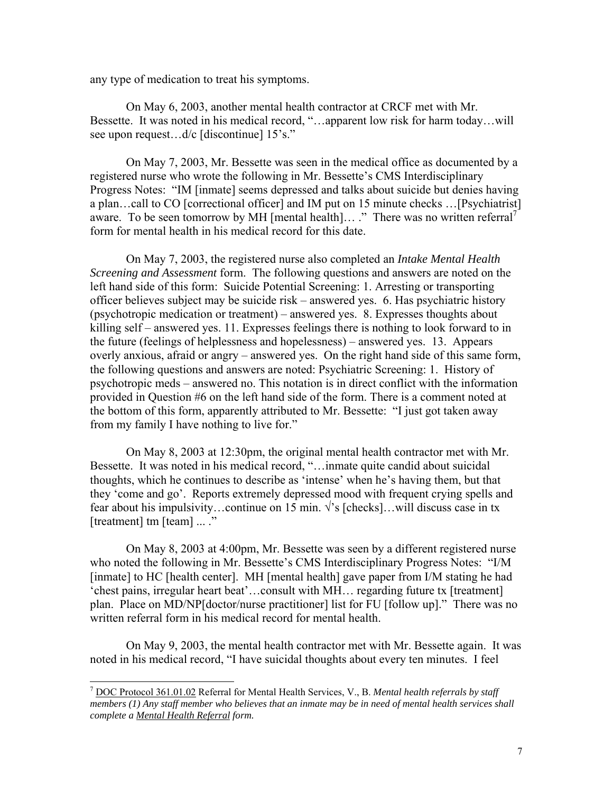any type of medication to treat his symptoms.

On May 6, 2003, another mental health contractor at CRCF met with Mr. Bessette. It was noted in his medical record, "…apparent low risk for harm today…will see upon request...d/c [discontinue] 15's."

On May 7, 2003, Mr. Bessette was seen in the medical office as documented by a registered nurse who wrote the following in Mr. Bessette's CMS Interdisciplinary Progress Notes: "IM [inmate] seems depressed and talks about suicide but denies having a plan…call to CO [correctional officer] and IM put on 15 minute checks …[Psychiatrist] aware. To be seen tomorrow by MH [mental health]... ." There was no written referral<sup>[7](#page-6-0)</sup> form for mental health in his medical record for this date.

On May 7, 2003, the registered nurse also completed an *Intake Mental Health Screening and Assessment* form. The following questions and answers are noted on the left hand side of this form: Suicide Potential Screening: 1. Arresting or transporting officer believes subject may be suicide risk – answered yes. 6. Has psychiatric history (psychotropic medication or treatment) – answered yes. 8. Expresses thoughts about killing self – answered yes. 11. Expresses feelings there is nothing to look forward to in the future (feelings of helplessness and hopelessness) – answered yes. 13. Appears overly anxious, afraid or angry – answered yes. On the right hand side of this same form, the following questions and answers are noted: Psychiatric Screening: 1. History of psychotropic meds – answered no. This notation is in direct conflict with the information provided in Question #6 on the left hand side of the form. There is a comment noted at the bottom of this form, apparently attributed to Mr. Bessette: "I just got taken away from my family I have nothing to live for."

On May 8, 2003 at 12:30pm, the original mental health contractor met with Mr. Bessette. It was noted in his medical record, "…inmate quite candid about suicidal thoughts, which he continues to describe as 'intense' when he's having them, but that they 'come and go'. Reports extremely depressed mood with frequent crying spells and fear about his impulsivity…continue on 15 min.  $\sqrt{s}$  [checks]…will discuss case in tx [treatment] tm [team] ... ."

On May 8, 2003 at 4:00pm, Mr. Bessette was seen by a different registered nurse who noted the following in Mr. Bessette's CMS Interdisciplinary Progress Notes: "I/M [inmate] to HC [health center]. MH [mental health] gave paper from I/M stating he had 'chest pains, irregular heart beat'…consult with MH… regarding future tx [treatment] plan. Place on MD/NP[doctor/nurse practitioner] list for FU [follow up]." There was no written referral form in his medical record for mental health.

On May 9, 2003, the mental health contractor met with Mr. Bessette again. It was noted in his medical record, "I have suicidal thoughts about every ten minutes. I feel

<span id="page-6-0"></span> <sup>7</sup> DOC Protocol 361.01.02 Referral for Mental Health Services, V., B. *Mental health referrals by staff members (1) Any staff member who believes that an inmate may be in need of mental health services shall complete a Mental Health Referral form.*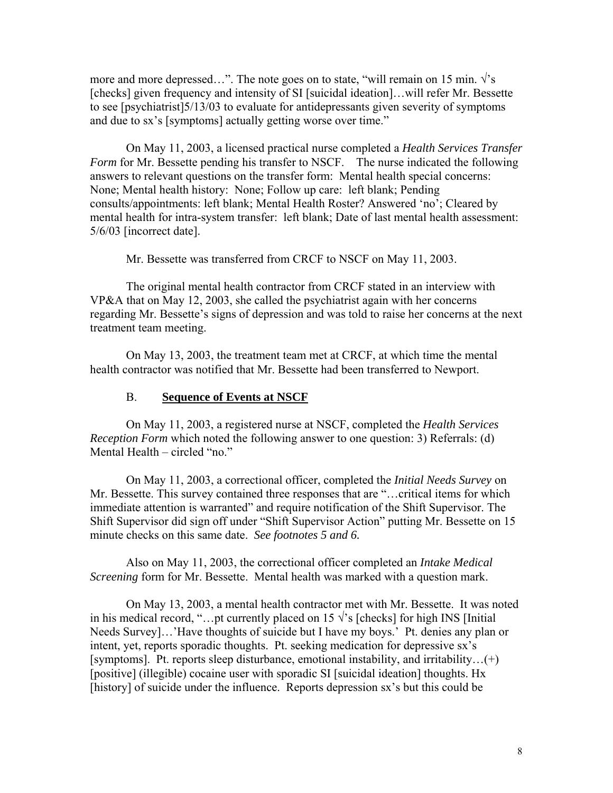more and more depressed…". The note goes on to state, "will remain on 15 min.  $\sqrt{s}$ [checks] given frequency and intensity of SI [suicidal ideation]...will refer Mr. Bessette to see [psychiatrist]5/13/03 to evaluate for antidepressants given severity of symptoms and due to sx's [symptoms] actually getting worse over time."

On May 11, 2003, a licensed practical nurse completed a *Health Services Transfer Form* for Mr. Bessette pending his transfer to NSCF. The nurse indicated the following answers to relevant questions on the transfer form: Mental health special concerns: None; Mental health history: None; Follow up care: left blank; Pending consults/appointments: left blank; Mental Health Roster? Answered 'no'; Cleared by mental health for intra-system transfer: left blank; Date of last mental health assessment: 5/6/03 [incorrect date].

Mr. Bessette was transferred from CRCF to NSCF on May 11, 2003.

The original mental health contractor from CRCF stated in an interview with VP&A that on May 12, 2003, she called the psychiatrist again with her concerns regarding Mr. Bessette's signs of depression and was told to raise her concerns at the next treatment team meeting.

On May 13, 2003, the treatment team met at CRCF, at which time the mental health contractor was notified that Mr. Bessette had been transferred to Newport.

#### B. **Sequence of Events at NSCF**

On May 11, 2003, a registered nurse at NSCF, completed the *Health Services Reception Form* which noted the following answer to one question: 3) Referrals: (d) Mental Health – circled "no."

On May 11, 2003, a correctional officer, completed the *Initial Needs Survey* on Mr. Bessette. This survey contained three responses that are "…critical items for which immediate attention is warranted" and require notification of the Shift Supervisor. The Shift Supervisor did sign off under "Shift Supervisor Action" putting Mr. Bessette on 15 minute checks on this same date. *See footnotes 5 and 6.*

Also on May 11, 2003, the correctional officer completed an *Intake Medical Screening* form for Mr. Bessette. Mental health was marked with a question mark.

On May 13, 2003, a mental health contractor met with Mr. Bessette. It was noted in his medical record, "...pt currently placed on 15  $\sqrt{ }$ 's [checks] for high INS [Initial Needs Survey]…'Have thoughts of suicide but I have my boys.' Pt. denies any plan or intent, yet, reports sporadic thoughts. Pt. seeking medication for depressive sx's [symptoms]. Pt. reports sleep disturbance, emotional instability, and irritability…(+) [positive] (illegible) cocaine user with sporadic SI [suicidal ideation] thoughts. Hx [history] of suicide under the influence. Reports depression sx's but this could be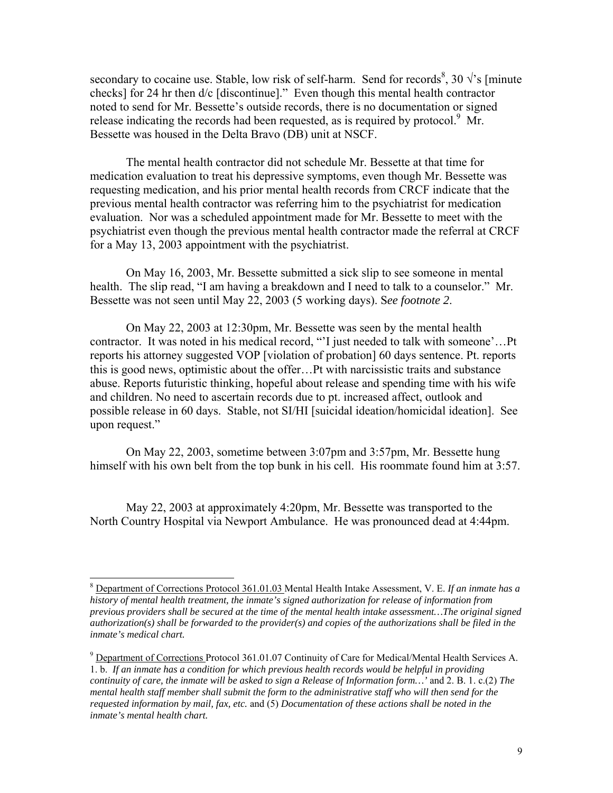secondary to cocaine use. Stable, low risk of self-harm. Send for records<sup>[8](#page-8-0)</sup>, 30  $\sqrt{3}$  [minute checks] for 24 hr then d/c [discontinue]." Even though this mental health contractor noted to send for Mr. Bessette's outside records, there is no documentation or signed release indicating the records had been requested, as is required by protocol.<sup>9</sup> Mr. Bessette was housed in the Delta Bravo (DB) unit at NSCF.

The mental health contractor did not schedule Mr. Bessette at that time for medication evaluation to treat his depressive symptoms, even though Mr. Bessette was requesting medication, and his prior mental health records from CRCF indicate that the previous mental health contractor was referring him to the psychiatrist for medication evaluation. Nor was a scheduled appointment made for Mr. Bessette to meet with the psychiatrist even though the previous mental health contractor made the referral at CRCF for a May 13, 2003 appointment with the psychiatrist.

On May 16, 2003, Mr. Bessette submitted a sick slip to see someone in mental health. The slip read, "I am having a breakdown and I need to talk to a counselor." Mr. Bessette was not seen until May 22, 2003 (5 working days). S*ee footnote 2*.

On May 22, 2003 at 12:30pm, Mr. Bessette was seen by the mental health contractor. It was noted in his medical record, "'I just needed to talk with someone'…Pt reports his attorney suggested VOP [violation of probation] 60 days sentence. Pt. reports this is good news, optimistic about the offer…Pt with narcissistic traits and substance abuse. Reports futuristic thinking, hopeful about release and spending time with his wife and children. No need to ascertain records due to pt. increased affect, outlook and possible release in 60 days. Stable, not SI/HI [suicidal ideation/homicidal ideation]. See upon request."

On May 22, 2003, sometime between 3:07pm and 3:57pm, Mr. Bessette hung himself with his own belt from the top bunk in his cell. His roommate found him at 3:57.

May 22, 2003 at approximately 4:20pm, Mr. Bessette was transported to the North Country Hospital via Newport Ambulance. He was pronounced dead at 4:44pm.

<span id="page-8-0"></span> <sup>8</sup> Department of Corrections Protocol 361.01.03 Mental Health Intake Assessment, V. E. *If an inmate has a history of mental health treatment, the inmate's signed authorization for release of information from previous providers shall be secured at the time of the mental health intake assessment…The original signed authorization(s) shall be forwarded to the provider(s) and copies of the authorizations shall be filed in the inmate's medical chart.* 

<span id="page-8-1"></span><sup>9</sup> Department of Corrections Protocol 361.01.07 Continuity of Care for Medical/Mental Health Services A. 1. b. *If an inmate has a condition for which previous health records would be helpful in providing continuity of care, the inmate will be asked to sign a Release of Information form…'* and 2. B. 1. c.(2) *The mental health staff member shall submit the form to the administrative staff who will then send for the requested information by mail, fax, etc.* and (5) *Documentation of these actions shall be noted in the inmate's mental health chart.*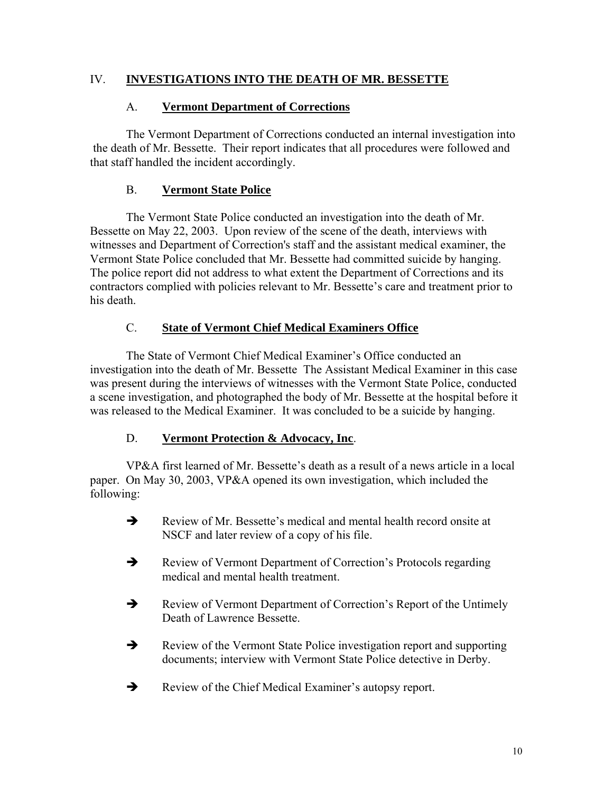# IV. **INVESTIGATIONS INTO THE DEATH OF MR. BESSETTE**

# A. **Vermont Department of Corrections**

The Vermont Department of Corrections conducted an internal investigation into the death of Mr. Bessette. Their report indicates that all procedures were followed and that staff handled the incident accordingly.

# B. **Vermont State Police**

The Vermont State Police conducted an investigation into the death of Mr. Bessette on May 22, 2003. Upon review of the scene of the death, interviews with witnesses and Department of Correction's staff and the assistant medical examiner, the Vermont State Police concluded that Mr. Bessette had committed suicide by hanging. The police report did not address to what extent the Department of Corrections and its contractors complied with policies relevant to Mr. Bessette's care and treatment prior to his death.

# C. **State of Vermont Chief Medical Examiners Office**

The State of Vermont Chief Medical Examiner's Office conducted an investigation into the death of Mr. Bessette The Assistant Medical Examiner in this case was present during the interviews of witnesses with the Vermont State Police, conducted a scene investigation, and photographed the body of Mr. Bessette at the hospital before it was released to the Medical Examiner. It was concluded to be a suicide by hanging.

### D. **Vermont Protection & Advocacy, Inc**.

VP&A first learned of Mr. Bessette's death as a result of a news article in a local paper. On May 30, 2003, VP&A opened its own investigation, which included the following:

- $\rightarrow$  Review of Mr. Bessette's medical and mental health record onsite at NSCF and later review of a copy of his file.
- $\rightarrow$  Review of Vermont Department of Correction's Protocols regarding medical and mental health treatment.
- Review of Vermont Department of Correction's Report of the Untimely Death of Lawrence Bessette.
- $\rightarrow$  Review of the Vermont State Police investigation report and supporting documents; interview with Vermont State Police detective in Derby.
- Review of the Chief Medical Examiner's autopsy report.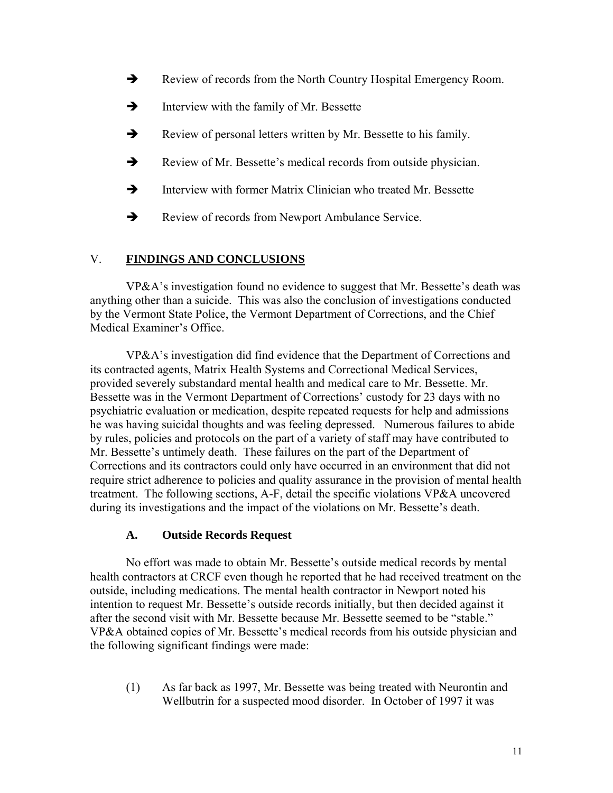- $\rightarrow$  Review of records from the North Country Hospital Emergency Room.
- $\rightarrow$  Interview with the family of Mr. Bessette
- $\rightarrow$  Review of personal letters written by Mr. Bessette to his family.
- $\rightarrow$  Review of Mr. Bessette's medical records from outside physician.
- $\rightarrow$  Interview with former Matrix Clinician who treated Mr. Bessette
- Review of records from Newport Ambulance Service.

### V. **FINDINGS AND CONCLUSIONS**

VP&A's investigation found no evidence to suggest that Mr. Bessette's death was anything other than a suicide. This was also the conclusion of investigations conducted by the Vermont State Police, the Vermont Department of Corrections, and the Chief Medical Examiner's Office.

VP&A's investigation did find evidence that the Department of Corrections and its contracted agents, Matrix Health Systems and Correctional Medical Services, provided severely substandard mental health and medical care to Mr. Bessette. Mr. Bessette was in the Vermont Department of Corrections' custody for 23 days with no psychiatric evaluation or medication, despite repeated requests for help and admissions he was having suicidal thoughts and was feeling depressed. Numerous failures to abide by rules, policies and protocols on the part of a variety of staff may have contributed to Mr. Bessette's untimely death. These failures on the part of the Department of Corrections and its contractors could only have occurred in an environment that did not require strict adherence to policies and quality assurance in the provision of mental health treatment. The following sections, A-F, detail the specific violations VP&A uncovered during its investigations and the impact of the violations on Mr. Bessette's death.

### **A. Outside Records Request**

No effort was made to obtain Mr. Bessette's outside medical records by mental health contractors at CRCF even though he reported that he had received treatment on the outside, including medications. The mental health contractor in Newport noted his intention to request Mr. Bessette's outside records initially, but then decided against it after the second visit with Mr. Bessette because Mr. Bessette seemed to be "stable." VP&A obtained copies of Mr. Bessette's medical records from his outside physician and the following significant findings were made:

(1) As far back as 1997, Mr. Bessette was being treated with Neurontin and Wellbutrin for a suspected mood disorder. In October of 1997 it was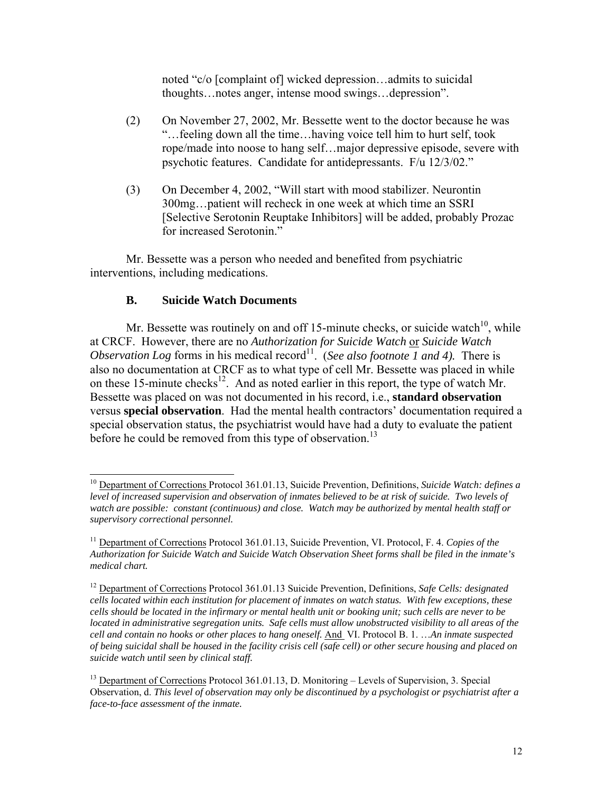noted "c/o [complaint of] wicked depression…admits to suicidal thoughts…notes anger, intense mood swings…depression".

- (2) On November 27, 2002, Mr. Bessette went to the doctor because he was "…feeling down all the time…having voice tell him to hurt self, took rope/made into noose to hang self…major depressive episode, severe with psychotic features. Candidate for antidepressants. F/u 12/3/02."
- (3) On December 4, 2002, "Will start with mood stabilizer. Neurontin 300mg…patient will recheck in one week at which time an SSRI [Selective Serotonin Reuptake Inhibitors] will be added, probably Prozac for increased Serotonin."

Mr. Bessette was a person who needed and benefited from psychiatric interventions, including medications.

### **B. Suicide Watch Documents**

Mr. Bessette was routinely on and off 15-minute checks, or suicide watch $10$ , while at CRCF. However, there are no *Authorization for Suicide Watch* or *Suicide Watch Observation Log* forms in his medical record<sup>11</sup>. (*See also footnote*  $\overline{1}$  *and* 4). There is also no documentation at CRCF as to what type of cell Mr. Bessette was placed in while on these 15-minute checks<sup>12</sup>. And as noted earlier in this report, the type of watch Mr. Bessette was placed on was not documented in his record, i.e., **standard observation**  versus **special observation**. Had the mental health contractors' documentation required a special observation status, the psychiatrist would have had a duty to evaluate the patient before he could be removed from this type of observation.<sup>[13](#page-11-3)</sup>

<span id="page-11-0"></span> <sup>10</sup> Department of Corrections Protocol 361.01.13, Suicide Prevention, Definitions, *Suicide Watch: defines a level of increased supervision and observation of inmates believed to be at risk of suicide. Two levels of watch are possible: constant (continuous) and close. Watch may be authorized by mental health staff or supervisory correctional personnel.* 

<span id="page-11-1"></span><sup>11</sup> Department of Corrections Protocol 361.01.13, Suicide Prevention, VI. Protocol, F. 4. *Copies of the Authorization for Suicide Watch and Suicide Watch Observation Sheet forms shall be filed in the inmate's medical chart.*

<span id="page-11-2"></span><sup>12</sup> Department of Corrections Protocol 361.01.13 Suicide Prevention, Definitions, *Safe Cells: designated cells located within each institution for placement of inmates on watch status. With few exceptions, these cells should be located in the infirmary or mental health unit or booking unit; such cells are never to be located in administrative segregation units. Safe cells must allow unobstructed visibility to all areas of the cell and contain no hooks or other places to hang oneself.* And VI. Protocol B. 1. …*An inmate suspected of being suicidal shall be housed in the facility crisis cell (safe cell) or other secure housing and placed on suicide watch until seen by clinical staff.* 

<span id="page-11-3"></span><sup>&</sup>lt;sup>13</sup> Department of Corrections Protocol 361.01.13, D. Monitoring – Levels of Supervision, 3. Special Observation, d. *This level of observation may only be discontinued by a psychologist or psychiatrist after a face-to-face assessment of the inmate.*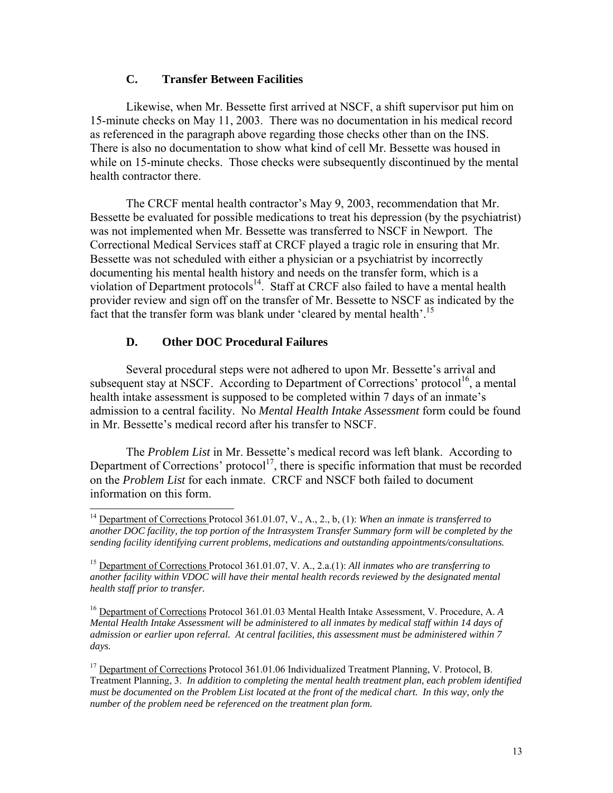### **C. Transfer Between Facilities**

Likewise, when Mr. Bessette first arrived at NSCF, a shift supervisor put him on 15-minute checks on May 11, 2003. There was no documentation in his medical record as referenced in the paragraph above regarding those checks other than on the INS. There is also no documentation to show what kind of cell Mr. Bessette was housed in while on 15-minute checks. Those checks were subsequently discontinued by the mental health contractor there.

The CRCF mental health contractor's May 9, 2003, recommendation that Mr. Bessette be evaluated for possible medications to treat his depression (by the psychiatrist) was not implemented when Mr. Bessette was transferred to NSCF in Newport. The Correctional Medical Services staff at CRCF played a tragic role in ensuring that Mr. Bessette was not scheduled with either a physician or a psychiatrist by incorrectly documenting his mental health history and needs on the transfer form, which is a violation of Department protocols $14$ . Staff at CRCF also failed to have a mental health provider review and sign off on the transfer of Mr. Bessette to NSCF as indicated by the fact that the transfer form was blank under 'cleared by mental health'.<sup>15</sup>

# **D. Other DOC Procedural Failures**

Several procedural steps were not adhered to upon Mr. Bessette's arrival and subsequent stay at NSCF. According to Department of Corrections' protocol<sup>16</sup>, a mental health intake assessment is supposed to be completed within 7 days of an inmate's admission to a central facility. No *Mental Health Intake Assessment* form could be found in Mr. Bessette's medical record after his transfer to NSCF.

 The *Problem List* in Mr. Bessette's medical record was left blank. According to Department of Corrections' protocol<sup>17</sup>, there is specific information that must be recorded on the *Problem List* for each inmate. CRCF and NSCF both failed to document information on this form.

<span id="page-12-0"></span> <sup>14</sup> Department of Corrections Protocol 361.01.07, V., A., 2., b, (1): *When an inmate is transferred to another DOC facility, the top portion of the Intrasystem Transfer Summary form will be completed by the sending facility identifying current problems, medications and outstanding appointments/consultations.* 

<span id="page-12-1"></span><sup>15</sup> Department of Corrections Protocol 361.01.07, V. A., 2.a.(1): *All inmates who are transferring to another facility within VDOC will have their mental health records reviewed by the designated mental health staff prior to transfer.* 

<span id="page-12-2"></span><sup>16</sup> Department of Corrections Protocol 361.01.03 Mental Health Intake Assessment, V. Procedure, A. *A Mental Health Intake Assessment will be administered to all inmates by medical staff within 14 days of admission or earlier upon referral. At central facilities, this assessment must be administered within 7 days.* 

<span id="page-12-3"></span><sup>&</sup>lt;sup>17</sup> Department of Corrections Protocol 361.01.06 Individualized Treatment Planning, V. Protocol, B. Treatment Planning, 3. *In addition to completing the mental health treatment plan, each problem identified must be documented on the Problem List located at the front of the medical chart. In this way, only the number of the problem need be referenced on the treatment plan form.*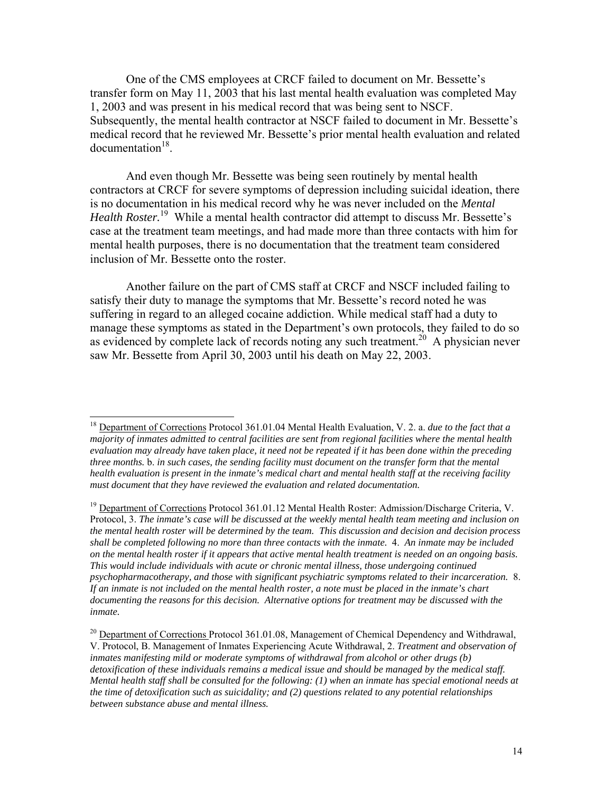One of the CMS employees at CRCF failed to document on Mr. Bessette's transfer form on May 11, 2003 that his last mental health evaluation was completed May 1, 2003 and was present in his medical record that was being sent to NSCF. Subsequently, the mental health contractor at NSCF failed to document in Mr. Bessette's medical record that he reviewed Mr. Bessette's prior mental health evaluation and related documentation<sup>18</sup>.

And even though Mr. Bessette was being seen routinely by mental health contractors at CRCF for severe symptoms of depression including suicidal ideation, there is no documentation in his medical record why he was never included on the *Mental Health Roster.*[19](#page-13-1) While a mental health contractor did attempt to discuss Mr. Bessette's case at the treatment team meetings, and had made more than three contacts with him for mental health purposes, there is no documentation that the treatment team considered inclusion of Mr. Bessette onto the roster.

Another failure on the part of CMS staff at CRCF and NSCF included failing to satisfy their duty to manage the symptoms that Mr. Bessette's record noted he was suffering in regard to an alleged cocaine addiction. While medical staff had a duty to manage these symptoms as stated in the Department's own protocols, they failed to do so as evidenced by complete lack of records noting any such treatment.<sup>20</sup> A physician never saw Mr. Bessette from April 30, 2003 until his death on May 22, 2003.

<span id="page-13-0"></span> <sup>18</sup> Department of Corrections Protocol 361.01.04 Mental Health Evaluation, V. 2. a. *due to the fact that <sup>a</sup> majority of inmates admitted to central facilities are sent from regional facilities where the mental health evaluation may already have taken place, it need not be repeated if it has been done within the preceding three months.* b. *in such cases, the sending facility must document on the transfer form that the mental health evaluation is present in the inmate's medical chart and mental health staff at the receiving facility must document that they have reviewed the evaluation and related documentation.*

<span id="page-13-1"></span><sup>&</sup>lt;sup>19</sup> Department of Corrections Protocol 361.01.12 Mental Health Roster: Admission/Discharge Criteria, V. Protocol, 3. *The inmate's case will be discussed at the weekly mental health team meeting and inclusion on the mental health roster will be determined by the team. This discussion and decision and decision process shall be completed following no more than three contacts with the inmate.* 4. *An inmate may be included on the mental health roster if it appears that active mental health treatment is needed on an ongoing basis. This would include individuals with acute or chronic mental illness, those undergoing continued psychopharmacotherapy, and those with significant psychiatric symptoms related to their incarceration.* 8. *If an inmate is not included on the mental health roster, a note must be placed in the inmate's chart documenting the reasons for this decision. Alternative options for treatment may be discussed with the inmate.* 

<span id="page-13-2"></span><sup>&</sup>lt;sup>20</sup> Department of Corrections Protocol 361.01.08, Management of Chemical Dependency and Withdrawal, V. Protocol, B. Management of Inmates Experiencing Acute Withdrawal, 2. *Treatment and observation of inmates manifesting mild or moderate symptoms of withdrawal from alcohol or other drugs (b) detoxification of these individuals remains a medical issue and should be managed by the medical staff. Mental health staff shall be consulted for the following: (1) when an inmate has special emotional needs at the time of detoxification such as suicidality; and (2) questions related to any potential relationships between substance abuse and mental illness.*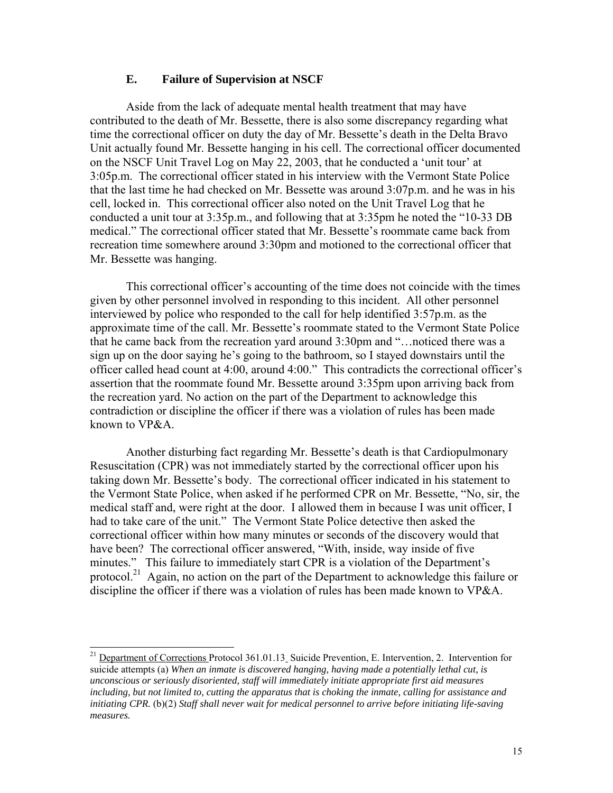### **E. Failure of Supervision at NSCF**

Aside from the lack of adequate mental health treatment that may have contributed to the death of Mr. Bessette, there is also some discrepancy regarding what time the correctional officer on duty the day of Mr. Bessette's death in the Delta Bravo Unit actually found Mr. Bessette hanging in his cell. The correctional officer documented on the NSCF Unit Travel Log on May 22, 2003, that he conducted a 'unit tour' at 3:05p.m. The correctional officer stated in his interview with the Vermont State Police that the last time he had checked on Mr. Bessette was around 3:07p.m. and he was in his cell, locked in. This correctional officer also noted on the Unit Travel Log that he conducted a unit tour at 3:35p.m., and following that at 3:35pm he noted the "10-33 DB medical." The correctional officer stated that Mr. Bessette's roommate came back from recreation time somewhere around 3:30pm and motioned to the correctional officer that Mr. Bessette was hanging.

This correctional officer's accounting of the time does not coincide with the times given by other personnel involved in responding to this incident. All other personnel interviewed by police who responded to the call for help identified 3:57p.m. as the approximate time of the call. Mr. Bessette's roommate stated to the Vermont State Police that he came back from the recreation yard around 3:30pm and "…noticed there was a sign up on the door saying he's going to the bathroom, so I stayed downstairs until the officer called head count at 4:00, around 4:00." This contradicts the correctional officer's assertion that the roommate found Mr. Bessette around 3:35pm upon arriving back from the recreation yard. No action on the part of the Department to acknowledge this contradiction or discipline the officer if there was a violation of rules has been made known to VP&A.

Another disturbing fact regarding Mr. Bessette's death is that Cardiopulmonary Resuscitation (CPR) was not immediately started by the correctional officer upon his taking down Mr. Bessette's body. The correctional officer indicated in his statement to the Vermont State Police, when asked if he performed CPR on Mr. Bessette, "No, sir, the medical staff and, were right at the door. I allowed them in because I was unit officer, I had to take care of the unit." The Vermont State Police detective then asked the correctional officer within how many minutes or seconds of the discovery would that have been? The correctional officer answered, "With, inside, way inside of five minutes." This failure to immediately start CPR is a violation of the Department's protocol.<sup>21</sup> Again, no action on the part of the Department to acknowledge this failure or discipline the officer if there was a violation of rules has been made known to VP&A.

<span id="page-14-0"></span><sup>&</sup>lt;sup>21</sup> Department of Corrections Protocol 361.01.13 Suicide Prevention, E. Intervention, 2. Intervention for suicide attempts (a) *When an inmate is discovered hanging, having made a potentially lethal cut, is unconscious or seriously disoriented, staff will immediately initiate appropriate first aid measures including, but not limited to, cutting the apparatus that is choking the inmate, calling for assistance and initiating CPR.* (b)(2) *Staff shall never wait for medical personnel to arrive before initiating life-saving measures.*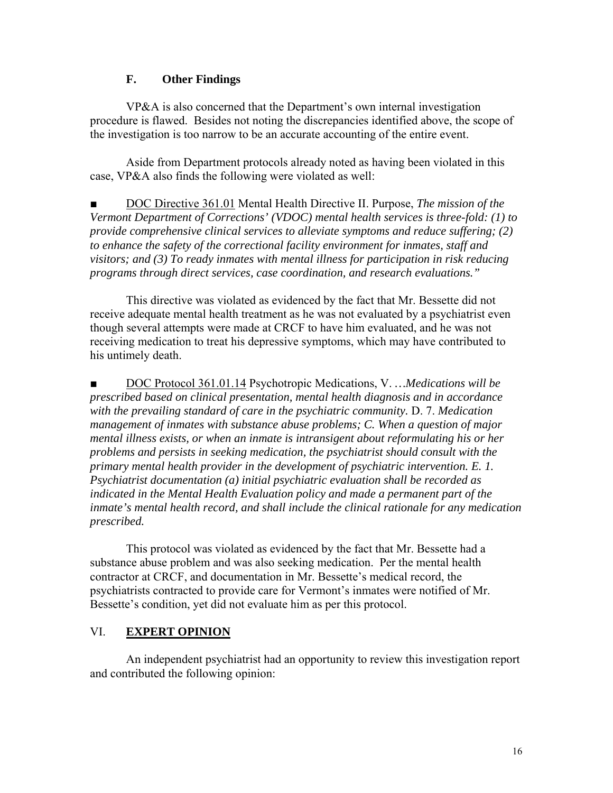### **F. Other Findings**

VP&A is also concerned that the Department's own internal investigation procedure is flawed. Besides not noting the discrepancies identified above, the scope of the investigation is too narrow to be an accurate accounting of the entire event.

Aside from Department protocols already noted as having been violated in this case, VP&A also finds the following were violated as well:

DOC Directive 361.01 Mental Health Directive II. Purpose, *The mission of the Vermont Department of Corrections' (VDOC) mental health services is three-fold: (1) to provide comprehensive clinical services to alleviate symptoms and reduce suffering; (2) to enhance the safety of the correctional facility environment for inmates, staff and visitors; and (3) To ready inmates with mental illness for participation in risk reducing programs through direct services, case coordination, and research evaluations."* 

This directive was violated as evidenced by the fact that Mr. Bessette did not receive adequate mental health treatment as he was not evaluated by a psychiatrist even though several attempts were made at CRCF to have him evaluated, and he was not receiving medication to treat his depressive symptoms, which may have contributed to his untimely death.

■ DOC Protocol 361.01.14 Psychotropic Medications, V. *…Medications will be prescribed based on clinical presentation, mental health diagnosis and in accordance with the prevailing standard of care in the psychiatric community.* D. 7. *Medication management of inmates with substance abuse problems; C. When a question of major mental illness exists, or when an inmate is intransigent about reformulating his or her problems and persists in seeking medication, the psychiatrist should consult with the primary mental health provider in the development of psychiatric intervention. E. 1. Psychiatrist documentation (a) initial psychiatric evaluation shall be recorded as indicated in the Mental Health Evaluation policy and made a permanent part of the inmate's mental health record, and shall include the clinical rationale for any medication prescribed.* 

This protocol was violated as evidenced by the fact that Mr. Bessette had a substance abuse problem and was also seeking medication. Per the mental health contractor at CRCF, and documentation in Mr. Bessette's medical record, the psychiatrists contracted to provide care for Vermont's inmates were notified of Mr. Bessette's condition, yet did not evaluate him as per this protocol.

### VI. **EXPERT OPINION**

An independent psychiatrist had an opportunity to review this investigation report and contributed the following opinion: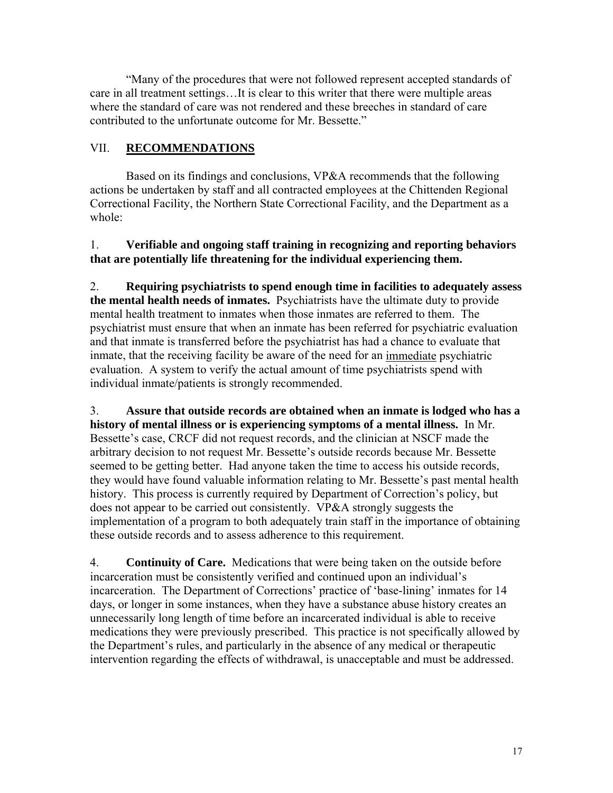"Many of the procedures that were not followed represent accepted standards of care in all treatment settings…It is clear to this writer that there were multiple areas where the standard of care was not rendered and these breeches in standard of care contributed to the unfortunate outcome for Mr. Bessette."

# VII. **RECOMMENDATIONS**

Based on its findings and conclusions, VP&A recommends that the following actions be undertaken by staff and all contracted employees at the Chittenden Regional Correctional Facility, the Northern State Correctional Facility, and the Department as a whole:

1. **Verifiable and ongoing staff training in recognizing and reporting behaviors that are potentially life threatening for the individual experiencing them.**

2. **Requiring psychiatrists to spend enough time in facilities to adequately assess the mental health needs of inmates.** Psychiatrists have the ultimate duty to provide mental health treatment to inmates when those inmates are referred to them. The psychiatrist must ensure that when an inmate has been referred for psychiatric evaluation and that inmate is transferred before the psychiatrist has had a chance to evaluate that inmate, that the receiving facility be aware of the need for an immediate psychiatric evaluation. A system to verify the actual amount of time psychiatrists spend with individual inmate/patients is strongly recommended.

3. **Assure that outside records are obtained when an inmate is lodged who has a history of mental illness or is experiencing symptoms of a mental illness.** In Mr. Bessette's case, CRCF did not request records, and the clinician at NSCF made the arbitrary decision to not request Mr. Bessette's outside records because Mr. Bessette seemed to be getting better. Had anyone taken the time to access his outside records, they would have found valuable information relating to Mr. Bessette's past mental health history. This process is currently required by Department of Correction's policy, but does not appear to be carried out consistently. VP&A strongly suggests the implementation of a program to both adequately train staff in the importance of obtaining these outside records and to assess adherence to this requirement.

4. **Continuity of Care.** Medications that were being taken on the outside before incarceration must be consistently verified and continued upon an individual's incarceration. The Department of Corrections' practice of 'base-lining' inmates for 14 days, or longer in some instances, when they have a substance abuse history creates an unnecessarily long length of time before an incarcerated individual is able to receive medications they were previously prescribed. This practice is not specifically allowed by the Department's rules, and particularly in the absence of any medical or therapeutic intervention regarding the effects of withdrawal, is unacceptable and must be addressed.